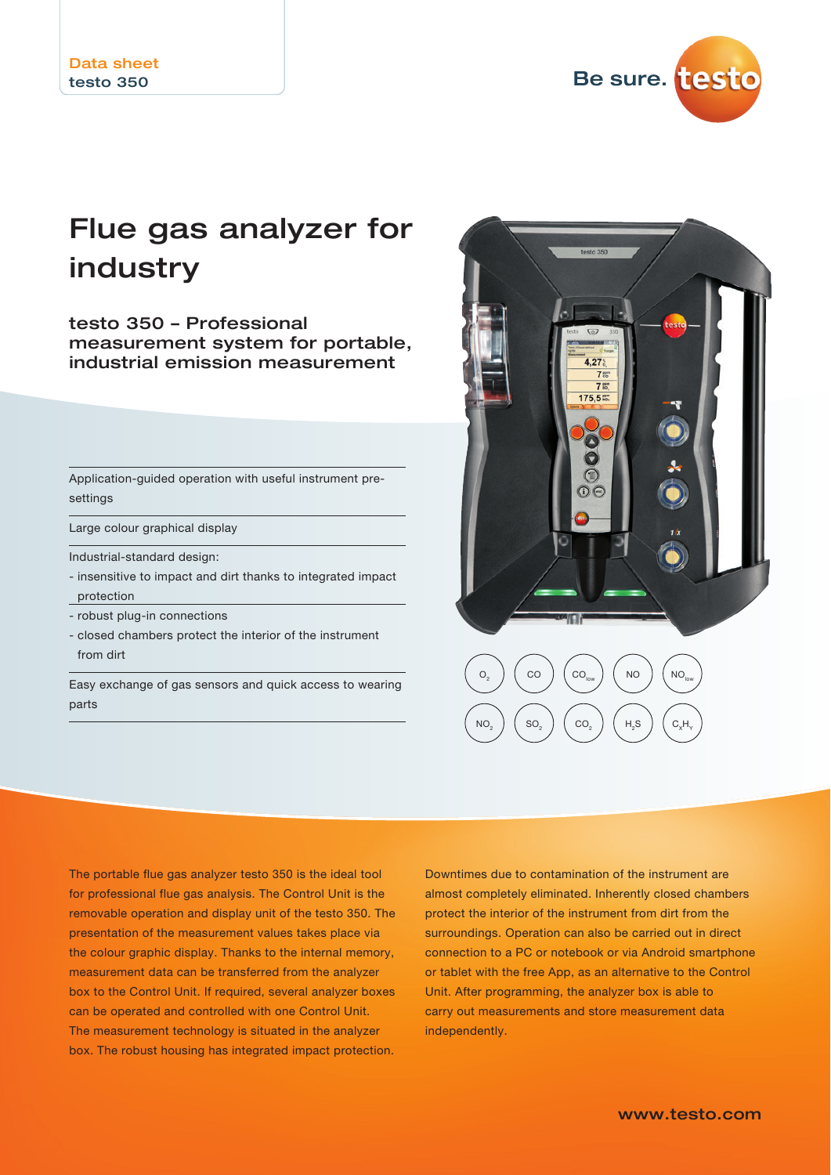Be sure. testo

# Flue gas analyzer for industry

testo 350 – Professional measurement system for portable, industrial emission measurement

Application-guided operation with useful instrument presettings

Large colour graphical display

Industrial-standard design:

- insensitive to impact and dirt thanks to integrated impact protection
- robust plug-in connections
- closed chambers protect the interior of the instrument from dirt

Easy exchange of gas sensors and quick access to wearing parts



The portable flue gas analyzer testo 350 is the ideal tool for professional flue gas analysis. The Control Unit is the removable operation and display unit of the testo 350. The presentation of the measurement values takes place via the colour graphic display. Thanks to the internal memory, measurement data can be transferred from the analyzer box to the Control Unit. If required, several analyzer boxes can be operated and controlled with one Control Unit. The measurement technology is situated in the analyzer box. The robust housing has integrated impact protection.

Downtimes due to contamination of the instrument are almost completely eliminated. Inherently closed chambers protect the interior of the instrument from dirt from the surroundings. Operation can also be carried out in direct connection to a PC or notebook or via Android smartphone or tablet with the free App, as an alternative to the Control Unit. After programming, the analyzer box is able to carry out measurements and store measurement data independently.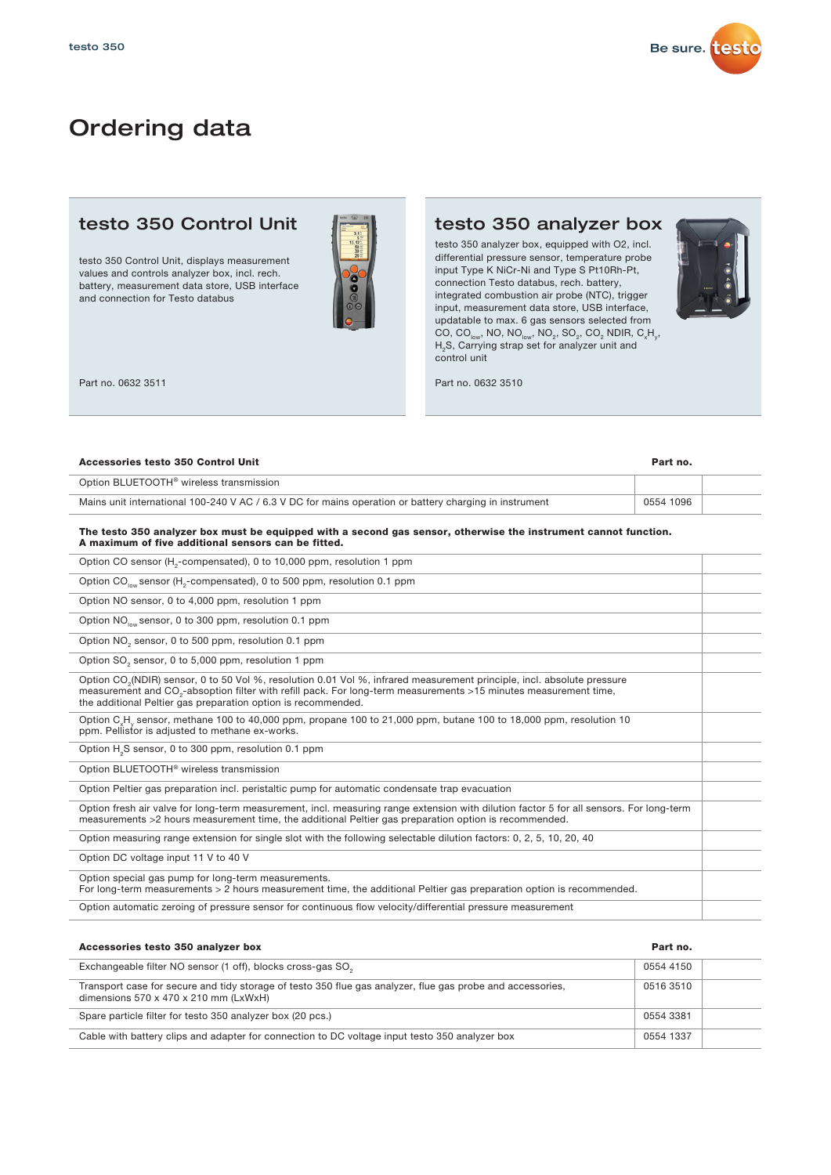

## Ordering data

### testo 350 Control Unit

testo 350 Control Unit, displays measurement values and controls analyzer box, incl. rech. battery, measurement data store, USB interface and connection for Testo databus



Part no. 0632 3511

### testo 350 analyzer box

testo 350 analyzer box, equipped with O2, incl. differential pressure sensor, temperature probe input Type K NiCr-Ni and Type S Pt10Rh-Pt, connection Testo databus, rech. battery, integrated combustion air probe (NTC), trigger input, measurement data store, USB interface, updatable to max. 6 gas sensors selected from CO, CO<sub>low</sub>, NO, NO<sub>low</sub>, NO<sub>2</sub>, SO<sub>2</sub>, CO<sub>2</sub> NDIR, C<sub>x</sub>H<sub>y</sub>, H<sub>2</sub>S, Carrying strap set for analyzer unit and control unit



Part no. 0632 3510

### Accessories testo 350 Control Unit Part no. Mains unit international 100-240 V AC / 6.3 V DC for mains operation or battery charging in instrument 0554 1096 Option BLUETOOTH® wireless transmission

#### The testo 350 analyzer box must be equipped with a second gas sensor, otherwise the instrument cannot function. A maximum of five additional sensors can be fitted.

| Option CO sensor (H <sub>2</sub> -compensated), 0 to 10,000 ppm, resolution 1 ppm                                                                                                                                                                                                                                                    |  |
|--------------------------------------------------------------------------------------------------------------------------------------------------------------------------------------------------------------------------------------------------------------------------------------------------------------------------------------|--|
| Option CO <sub>low</sub> sensor (H <sub>2</sub> -compensated), 0 to 500 ppm, resolution 0.1 ppm                                                                                                                                                                                                                                      |  |
| Option NO sensor, 0 to 4,000 ppm, resolution 1 ppm                                                                                                                                                                                                                                                                                   |  |
| Option NO <sub>low</sub> sensor, 0 to 300 ppm, resolution 0.1 ppm                                                                                                                                                                                                                                                                    |  |
| Option NO <sub>2</sub> sensor, 0 to 500 ppm, resolution 0.1 ppm                                                                                                                                                                                                                                                                      |  |
| Option SO <sub>2</sub> sensor, 0 to 5,000 ppm, resolution 1 ppm                                                                                                                                                                                                                                                                      |  |
| Option CO <sub>2</sub> (NDIR) sensor, 0 to 50 Vol %, resolution 0.01 Vol %, infrared measurement principle, incl. absolute pressure<br>measurement and CO <sub>3</sub> -absoption filter with refill pack. For long-term measurements >15 minutes measurement time,<br>the additional Peltier gas preparation option is recommended. |  |
| Option $C_xH_y$ sensor, methane 100 to 40,000 ppm, propane 100 to 21,000 ppm, butane 100 to 18,000 ppm, resolution 10<br>ppm. Pellistor is adjusted to methane ex-works.                                                                                                                                                             |  |
| Option H <sub>2</sub> S sensor, 0 to 300 ppm, resolution 0.1 ppm                                                                                                                                                                                                                                                                     |  |
| Option BLUETOOTH <sup>®</sup> wireless transmission                                                                                                                                                                                                                                                                                  |  |
| Option Peltier gas preparation incl. peristaltic pump for automatic condensate trap evacuation                                                                                                                                                                                                                                       |  |
| Option fresh air valve for long-term measurement, incl. measuring range extension with dilution factor 5 for all sensors. For long-term<br>measurements >2 hours measurement time, the additional Peltier gas preparation option is recommended.                                                                                     |  |
| Option measuring range extension for single slot with the following selectable dilution factors: 0, 2, 5, 10, 20, 40                                                                                                                                                                                                                 |  |
| Option DC voltage input 11 V to 40 V                                                                                                                                                                                                                                                                                                 |  |
| Option special gas pump for long-term measurements.<br>For long-term measurements > 2 hours measurement time, the additional Peltier gas preparation option is recommended.                                                                                                                                                          |  |
| Option automatic zeroing of pressure sensor for continuous flow velocity/differential pressure measurement                                                                                                                                                                                                                           |  |

| Accessories testo 350 analyzer box                                                                                                                              | Part no.  |  |
|-----------------------------------------------------------------------------------------------------------------------------------------------------------------|-----------|--|
| Exchangeable filter NO sensor (1 off), blocks cross-gas SO.                                                                                                     | 0554 4150 |  |
| Transport case for secure and tidy storage of testo 350 flue gas analyzer, flue gas probe and accessories,<br>dimensions $570 \times 470 \times 210$ mm (LxWxH) | 0516 3510 |  |
| Spare particle filter for testo 350 analyzer box (20 pcs.)                                                                                                      | 0554 3381 |  |
| Cable with battery clips and adapter for connection to DC voltage input testo 350 analyzer box                                                                  | 0554 1337 |  |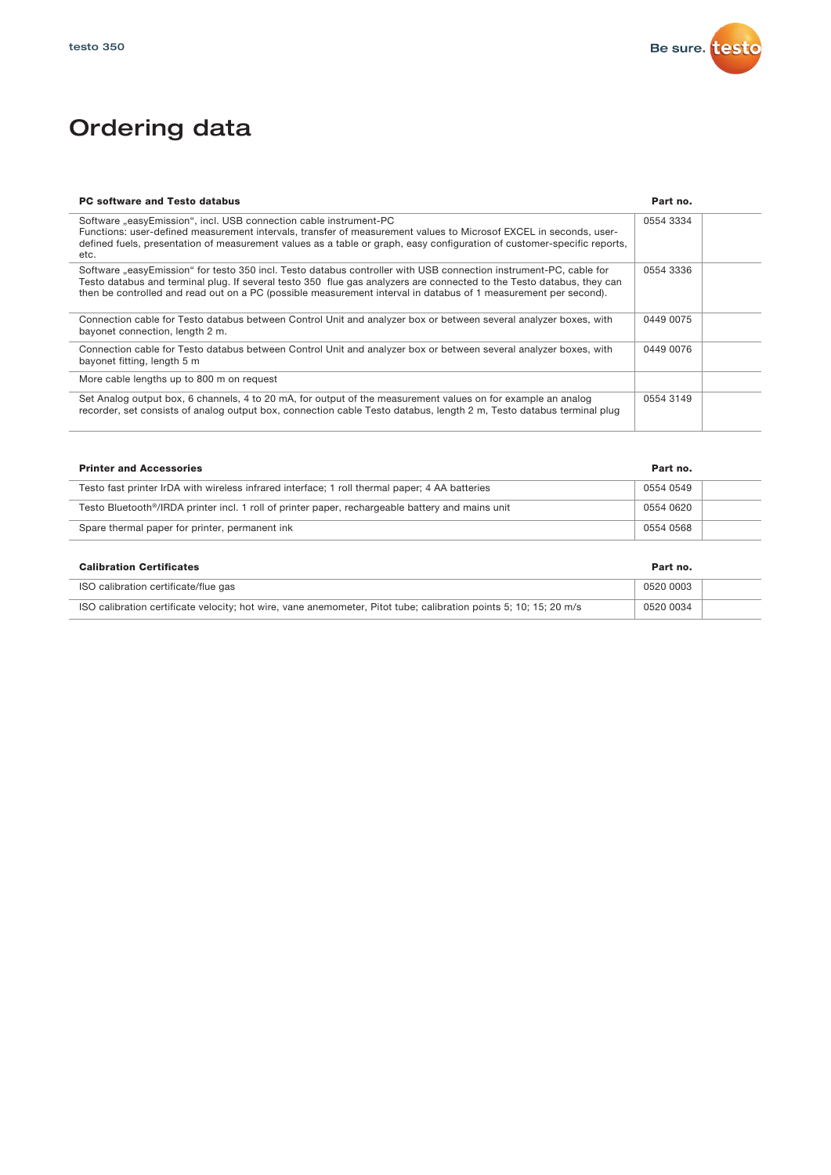

## Ordering data

| <b>PC software and Testo databus</b>                                                                                                                                                                                                                                                                                                                          | Part no.  |  |
|---------------------------------------------------------------------------------------------------------------------------------------------------------------------------------------------------------------------------------------------------------------------------------------------------------------------------------------------------------------|-----------|--|
| Software "easyEmission", incl. USB connection cable instrument-PC<br>Functions: user-defined measurement intervals, transfer of measurement values to Microsof EXCEL in seconds, user-<br>defined fuels, presentation of measurement values as a table or graph, easy configuration of customer-specific reports,<br>etc.                                     | 0554 3334 |  |
| Software "easyEmission" for testo 350 incl. Testo databus controller with USB connection instrument-PC, cable for<br>Testo databus and terminal plug. If several testo 350 flue gas analyzers are connected to the Testo databus, they can<br>then be controlled and read out on a PC (possible measurement interval in databus of 1 measurement per second). | 0554 3336 |  |
| Connection cable for Testo databus between Control Unit and analyzer box or between several analyzer boxes, with<br>bayonet connection, length 2 m.                                                                                                                                                                                                           | 0449 0075 |  |
| Connection cable for Testo databus between Control Unit and analyzer box or between several analyzer boxes, with<br>bayonet fitting, length 5 m                                                                                                                                                                                                               | 0449 0076 |  |
| More cable lengths up to 800 m on request                                                                                                                                                                                                                                                                                                                     |           |  |
| Set Analog output box, 6 channels, 4 to 20 mA, for output of the measurement values on for example an analog<br>recorder, set consists of analog output box, connection cable Testo databus, length 2 m, Testo databus terminal plug                                                                                                                          | 0554 3149 |  |

| <b>Printer and Accessories</b>                                                                   | Part no.  |  |
|--------------------------------------------------------------------------------------------------|-----------|--|
| Testo fast printer IrDA with wireless infrared interface; 1 roll thermal paper; 4 AA batteries   | 0554 0549 |  |
| Testo Bluetooth®/IRDA printer incl. 1 roll of printer paper, rechargeable battery and mains unit | 0554 0620 |  |
| Spare thermal paper for printer, permanent ink                                                   | 0554 0568 |  |

| <b>Calibration Certificates</b>                                                                                   | Part no.  |  |
|-------------------------------------------------------------------------------------------------------------------|-----------|--|
| ISO calibration certificate/flue gas                                                                              | 0520 0003 |  |
| ISO calibration certificate velocity; hot wire, vane anemometer, Pitot tube; calibration points 5; 10; 15; 20 m/s | 0520 0034 |  |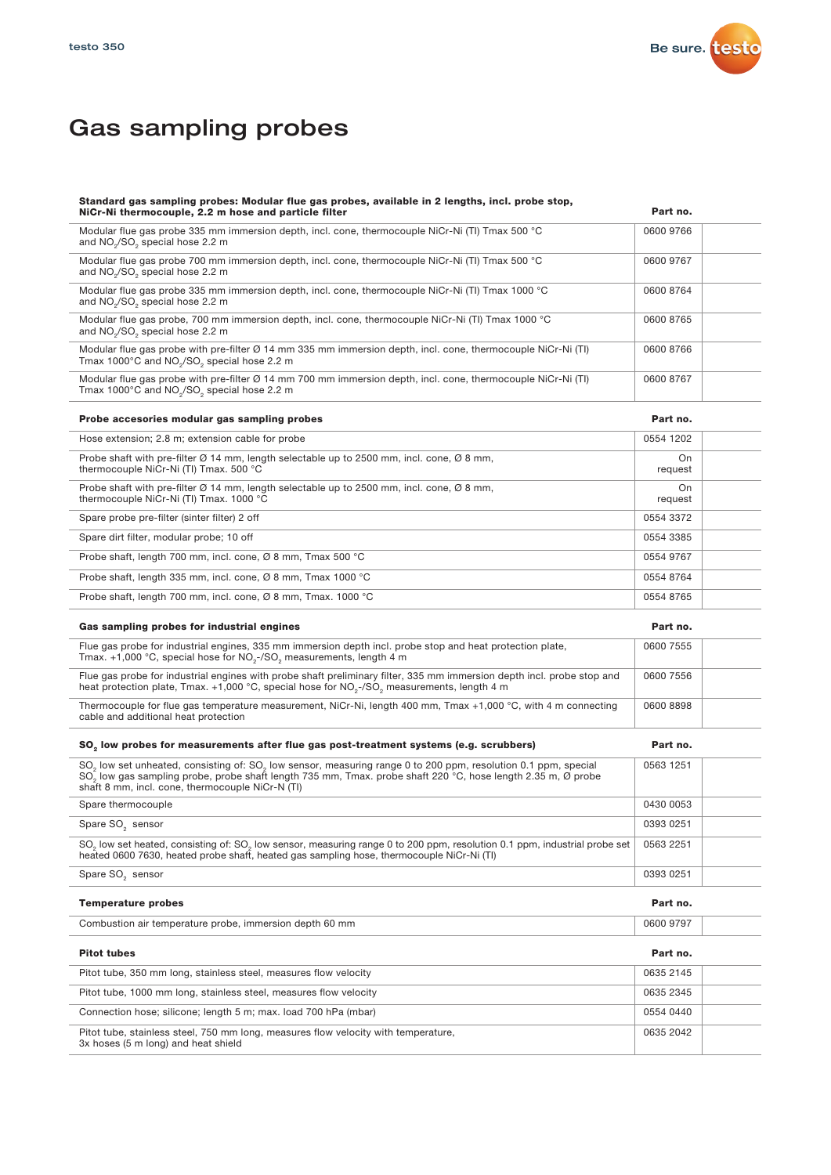

### Gas sampling probes

| Standard gas sampling probes: Modular flue gas probes, available in 2 lengths, incl. probe stop,<br>NiCr-Ni thermocouple, 2.2 m hose and particle filter                                                                                                                                                               | Part no.      |
|------------------------------------------------------------------------------------------------------------------------------------------------------------------------------------------------------------------------------------------------------------------------------------------------------------------------|---------------|
| Modular flue gas probe 335 mm immersion depth, incl. cone, thermocouple NiCr-Ni (TI) Tmax 500 °C<br>and NO <sub>2</sub> /SO <sub>2</sub> special hose 2.2 m                                                                                                                                                            | 0600 9766     |
| Modular flue gas probe 700 mm immersion depth, incl. cone, thermocouple NiCr-Ni (TI) Tmax 500 °C<br>and NO <sub>2</sub> /SO <sub>2</sub> special hose 2.2 m                                                                                                                                                            | 0600 9767     |
| Modular flue gas probe 335 mm immersion depth, incl. cone, thermocouple NiCr-Ni (TI) Tmax 1000 °C<br>and NO <sub>2</sub> /SO <sub>2</sub> special hose 2.2 m                                                                                                                                                           | 0600 8764     |
| Modular flue gas probe, 700 mm immersion depth, incl. cone, thermocouple NiCr-Ni (TI) Tmax 1000 °C<br>and NO <sub>2</sub> /SO <sub>2</sub> special hose 2.2 m                                                                                                                                                          | 0600 8765     |
| Modular flue gas probe with pre-filter Ø 14 mm 335 mm immersion depth, incl. cone, thermocouple NiCr-Ni (TI)<br>Tmax 1000°C and NO <sub>2</sub> /SO <sub>2</sub> special hose 2.2 m                                                                                                                                    | 0600 8766     |
| Modular flue gas probe with pre-filter Ø 14 mm 700 mm immersion depth, incl. cone, thermocouple NiCr-Ni (TI)<br>Tmax 1000°C and NO <sub>2</sub> /SO <sub>2</sub> special hose 2.2 m                                                                                                                                    | 0600 8767     |
| Probe accesories modular gas sampling probes                                                                                                                                                                                                                                                                           | Part no.      |
| Hose extension; 2.8 m; extension cable for probe                                                                                                                                                                                                                                                                       | 0554 1202     |
| Probe shaft with pre-filter $\varnothing$ 14 mm, length selectable up to 2500 mm, incl. cone, $\varnothing$ 8 mm,<br>thermocouple NiCr-Ni (TI) Tmax. 500 °C                                                                                                                                                            | On<br>request |
| Probe shaft with pre-filter Ø 14 mm, length selectable up to 2500 mm, incl. cone, Ø 8 mm,<br>thermocouple NiCr-Ni (TI) Tmax, 1000 °C                                                                                                                                                                                   | On<br>request |
| Spare probe pre-filter (sinter filter) 2 off                                                                                                                                                                                                                                                                           | 0554 3372     |
| Spare dirt filter, modular probe; 10 off                                                                                                                                                                                                                                                                               | 0554 3385     |
| Probe shaft, length 700 mm, incl. cone, Ø 8 mm, Tmax 500 °C                                                                                                                                                                                                                                                            | 0554 9767     |
| Probe shaft, length 335 mm, incl. cone, Ø 8 mm, Tmax 1000 °C                                                                                                                                                                                                                                                           | 0554 8764     |
| Probe shaft, length 700 mm, incl. cone, Ø 8 mm, Tmax. 1000 °C                                                                                                                                                                                                                                                          | 0554 8765     |
| Gas sampling probes for industrial engines                                                                                                                                                                                                                                                                             | Part no.      |
| Flue gas probe for industrial engines, 335 mm immersion depth incl. probe stop and heat protection plate,<br>Tmax. +1,000 °C, special hose for NO <sub>2</sub> -/SO <sub>2</sub> measurements, length 4 m                                                                                                              | 0600 7555     |
| Flue gas probe for industrial engines with probe shaft preliminary filter, 335 mm immersion depth incl. probe stop and<br>heat protection plate, Tmax. +1,000 °C, special hose for NO <sub>2</sub> -/SO <sub>2</sub> measurements, length 4 m                                                                          | 0600 7556     |
| Thermocouple for flue gas temperature measurement, NiCr-Ni, length 400 mm, Tmax +1,000 °C, with 4 m connecting<br>cable and additional heat protection                                                                                                                                                                 | 0600 8898     |
| SO <sub>2</sub> low probes for measurements after flue gas post-treatment systems (e.g. scrubbers)                                                                                                                                                                                                                     | Part no.      |
| SO <sub>2</sub> low set unheated, consisting of: SO <sub>2</sub> low sensor, measuring range 0 to 200 ppm, resolution 0.1 ppm, special<br>SO <sub>2</sub> low gas sampling probe, probe shaft length 735 mm, Tmax. probe shaft 220 °C, hose length 2.35 m, Ø probe<br>shaft 8 mm, incl. cone, thermocouple NiCr-N (TI) | 0563 1251     |
| Spare thermocouple                                                                                                                                                                                                                                                                                                     | 0430 0053     |
| Spare SO <sub>2</sub> sensor                                                                                                                                                                                                                                                                                           | 0393 0251     |
| SO <sub>2</sub> low set heated, consisting of: SO <sub>2</sub> low sensor, measuring range 0 to 200 ppm, resolution 0.1 ppm, industrial probe set<br>heated 0600 7630, heated probe shaft, heated gas sampling hose, thermocouple NiCr-Ni (TI)                                                                         | 0563 2251     |
| Spare SO <sub>2</sub> sensor                                                                                                                                                                                                                                                                                           | 0393 0251     |
| <b>Temperature probes</b>                                                                                                                                                                                                                                                                                              | Part no.      |
| Combustion air temperature probe, immersion depth 60 mm                                                                                                                                                                                                                                                                | 0600 9797     |
| <b>Pitot tubes</b>                                                                                                                                                                                                                                                                                                     | Part no.      |
| Pitot tube, 350 mm long, stainless steel, measures flow velocity                                                                                                                                                                                                                                                       | 0635 2145     |
| Pitot tube, 1000 mm long, stainless steel, measures flow velocity                                                                                                                                                                                                                                                      | 0635 2345     |
| Connection hose; silicone; length 5 m; max. load 700 hPa (mbar)                                                                                                                                                                                                                                                        | 0554 0440     |
| Pitot tube, stainless steel, 750 mm long, measures flow velocity with temperature,<br>3x hoses (5 m long) and heat shield                                                                                                                                                                                              | 0635 2042     |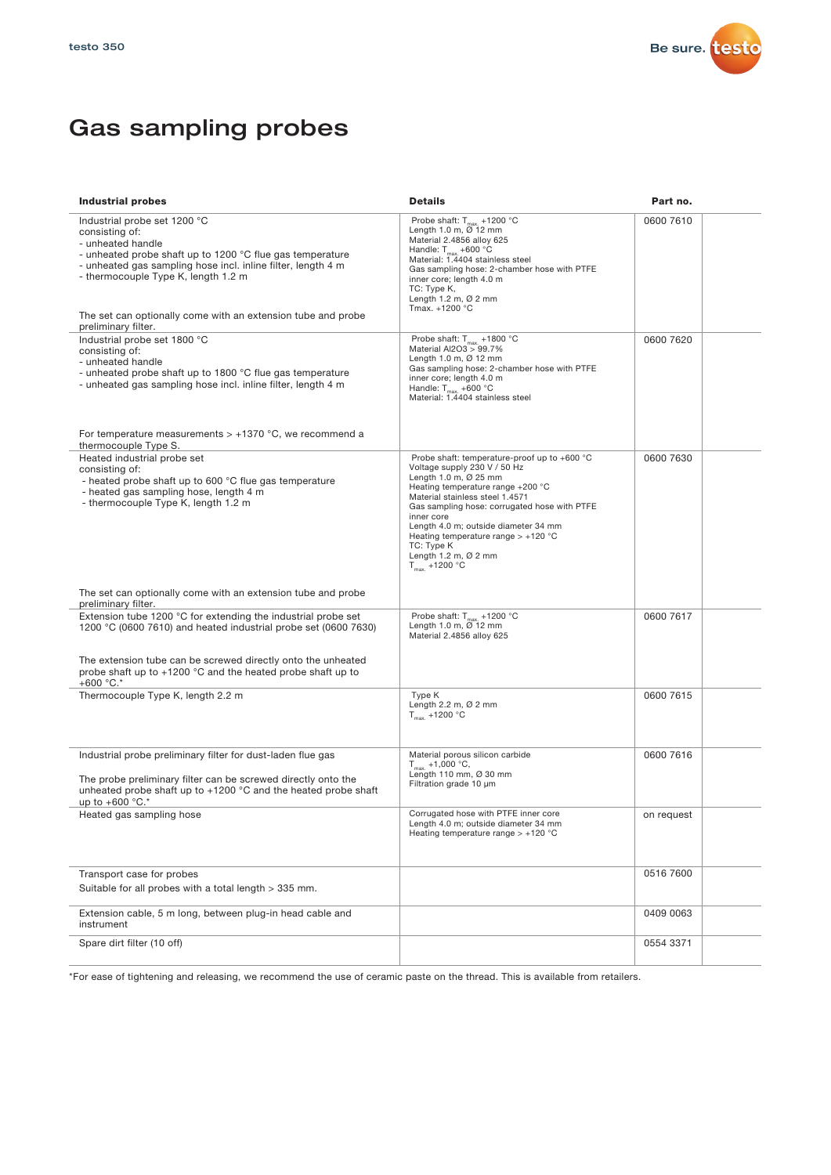

### Gas sampling probes

| <b>Industrial probes</b>                                                                                                                                                                                                                                                                 | <b>Details</b>                                                                                                                                                                                                                                                                                                                                                                               | Part no.   |
|------------------------------------------------------------------------------------------------------------------------------------------------------------------------------------------------------------------------------------------------------------------------------------------|----------------------------------------------------------------------------------------------------------------------------------------------------------------------------------------------------------------------------------------------------------------------------------------------------------------------------------------------------------------------------------------------|------------|
| Industrial probe set 1200 °C<br>consisting of:<br>- unheated handle<br>- unheated probe shaft up to 1200 °C flue gas temperature<br>- unheated gas sampling hose incl. inline filter, length 4 m<br>- thermocouple Type K, length 1.2 m                                                  | Probe shaft: $T_{max}$ +1200 °C<br>Length 1.0 m, $\varnothing$ 12 mm<br>Material 2.4856 alloy 625<br>Handle: $T_{max}$ +600 °C<br>Material: 1.4404 stainless steel<br>Gas sampling hose: 2-chamber hose with PTFE<br>inner core; length 4.0 m<br>TC: Type K,<br>Length 1.2 m, $\varnothing$ 2 mm<br>Tmax. +1200 °C                                                                           | 0600 7610  |
| The set can optionally come with an extension tube and probe<br>preliminary filter.                                                                                                                                                                                                      |                                                                                                                                                                                                                                                                                                                                                                                              |            |
| Industrial probe set 1800 °C<br>consisting of:<br>- unheated handle<br>- unheated probe shaft up to 1800 °C flue gas temperature<br>- unheated gas sampling hose incl. inline filter, length 4 m                                                                                         | Probe shaft: $T_{max}$ +1800 °C<br>Material Al2O3 > 99.7%<br>Length 1.0 m, $\varnothing$ 12 mm<br>Gas sampling hose: 2-chamber hose with PTFE<br>inner core; length 4.0 m<br>Handle: $T_{max}$ +600 °C<br>Material: 1.4404 stainless steel                                                                                                                                                   | 0600 7620  |
| For temperature measurements $> +1370$ °C, we recommend a<br>thermocouple Type S.                                                                                                                                                                                                        |                                                                                                                                                                                                                                                                                                                                                                                              |            |
| Heated industrial probe set<br>consisting of:<br>- heated probe shaft up to 600 °C flue gas temperature<br>- heated gas sampling hose, length 4 m<br>- thermocouple Type K, length 1.2 m                                                                                                 | Probe shaft: temperature-proof up to +600 °C<br>Voltage supply 230 V / 50 Hz<br>Length 1.0 m, Ø 25 mm<br>Heating temperature range +200 °C<br>Material stainless steel 1.4571<br>Gas sampling hose: corrugated hose with PTFE<br>inner core<br>Length 4.0 m; outside diameter 34 mm<br>Heating temperature range $> +120$ °C<br>TC: Type K<br>Length $1.2$ m, $Ø$ 2 mm<br>$T_{max}$ +1200 °C | 0600 7630  |
| The set can optionally come with an extension tube and probe<br>preliminary filter.                                                                                                                                                                                                      |                                                                                                                                                                                                                                                                                                                                                                                              |            |
| Extension tube 1200 °C for extending the industrial probe set<br>1200 °C (0600 7610) and heated industrial probe set (0600 7630)<br>The extension tube can be screwed directly onto the unheated<br>probe shaft up to $+1200$ °C and the heated probe shaft up to<br>+600 $^{\circ}$ C.* | Probe shaft: $T_{max.}$ +1200 °C<br>Length 1.0 m, Ø 12 mm<br>Material 2.4856 alloy 625                                                                                                                                                                                                                                                                                                       | 0600 7617  |
| Thermocouple Type K, length 2.2 m                                                                                                                                                                                                                                                        | Type K<br>Length $2.2$ m, $Ø$ $2$ mm<br>$T_{\text{max}}$ +1200 °C                                                                                                                                                                                                                                                                                                                            | 0600 7615  |
| Industrial probe preliminary filter for dust-laden flue gas<br>The probe preliminary filter can be screwed directly onto the<br>unheated probe shaft up to $+1200$ °C and the heated probe shaft<br>up to +600 °C.*                                                                      | Material porous silicon carbide<br>$T_{max}$ +1,000 °C,<br>Length 110 mm, Ø 30 mm<br>Filtration grade 10 µm                                                                                                                                                                                                                                                                                  | 0600 7616  |
| Heated gas sampling hose                                                                                                                                                                                                                                                                 | Corrugated hose with PTFE inner core<br>Length 4.0 m; outside diameter 34 mm<br>Heating temperature range $> +120$ °C                                                                                                                                                                                                                                                                        | on request |
| Transport case for probes<br>Suitable for all probes with a total length > 335 mm.                                                                                                                                                                                                       |                                                                                                                                                                                                                                                                                                                                                                                              | 0516 7600  |
| Extension cable, 5 m long, between plug-in head cable and<br>instrument                                                                                                                                                                                                                  |                                                                                                                                                                                                                                                                                                                                                                                              | 0409 0063  |
| Spare dirt filter (10 off)                                                                                                                                                                                                                                                               |                                                                                                                                                                                                                                                                                                                                                                                              | 0554 3371  |

\*For ease of tightening and releasing, we recommend the use of ceramic paste on the thread. This is available from retailers.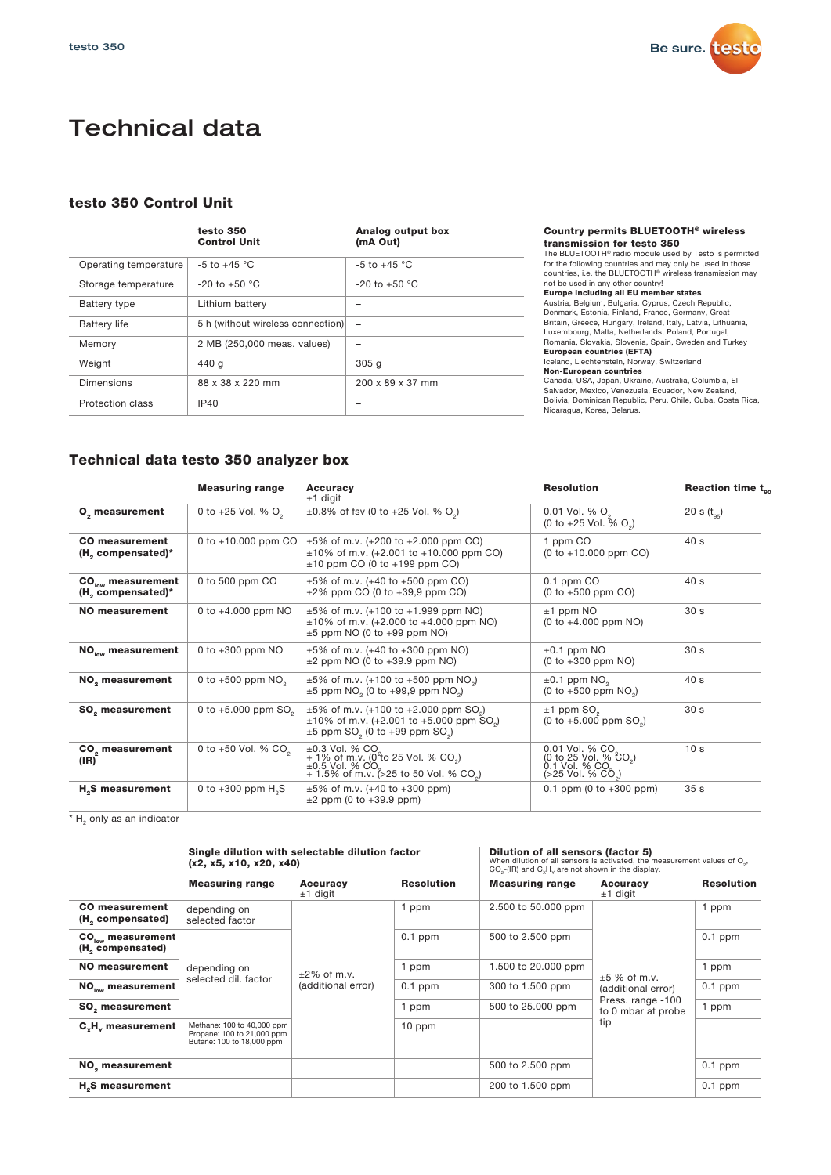

### Technical data

#### testo 350 Control Unit

|                       | testo 350<br><b>Control Unit</b>  | Analog output box<br>(mA Out) |
|-----------------------|-----------------------------------|-------------------------------|
| Operating temperature | $-5$ to $+45$ °C                  | $-5$ to $+45$ °C              |
| Storage temperature   | $-20$ to $+50$ °C                 | $-20$ to $+50$ °C             |
| Battery type          | Lithium battery                   |                               |
| <b>Battery life</b>   | 5 h (without wireless connection) | $\overline{\phantom{0}}$      |
| Memory                | 2 MB (250,000 meas. values)       |                               |
| Weight                | 440 g                             | 305 <sub>q</sub>              |
| <b>Dimensions</b>     | 88 x 38 x 220 mm                  | 200 x 89 x 37 mm              |
| Protection class      | <b>IP40</b>                       |                               |

#### Country permits BLUETOOTH® wireless transmission for testo 350

The BLUETOOTH® radio module used by Testo is permitted for the following countries and may only be used in those countries, i.e. the BLUETOOTH® wireless transmission may not be used in any other country!

Europe including all EU member states<br>Austria, Belgium, Bulgaria, Cyprus, Czech Republic,<br>Denmark, Estonia, Finland, France, Germany, Great<br>Britain, Greece, Hungary, Ireland, Italy, Latvia, Lithuania,<br>Luxembourg, Malta, Ne

European countries (EFTA) Iceland, Liechtenstein, Norway, Switzerland

**Non-European countries**<br>Canada, USA, Japan, Ukraine, Australia, Columbia, El<br>Salvador, Mexico, Venezuela, Ecuador, New Zealand,<br>Bolivia, Dominican Republic, Peru, Chile, Cuba, Costa Rica, Nicaragua, Korea, Belarus.

#### Technical data testo 350 analyzer box

|                                                         | <b>Measuring range</b>            | <b>Accuracy</b><br>$±1$ digit                                                                                                                                                                                                                  | <b>Resolution</b>                                                                                       | Reaction time $t_{gc}$ |
|---------------------------------------------------------|-----------------------------------|------------------------------------------------------------------------------------------------------------------------------------------------------------------------------------------------------------------------------------------------|---------------------------------------------------------------------------------------------------------|------------------------|
| O <sub>2</sub> measurement                              | 0 to +25 Vol. % $O_2$             | $\pm 0.8\%$ of fsv (0 to +25 Vol. % O <sub>2</sub> )                                                                                                                                                                                           | $0.01$ Vol. % $O2$<br>(0 to +25 Vol. % O <sub>o</sub> )                                                 | 20 s $(t_{0.5})$       |
| <b>CO</b> measurement<br>(H, compensated)*              | 0 to $+10.000$ ppm CO             | $\pm 5\%$ of m.v. (+200 to +2.000 ppm CO)<br>$\pm 10\%$ of m.v. (+2.001 to +10.000 ppm CO)<br>$\pm 10$ ppm CO (0 to $+199$ ppm CO)                                                                                                             | 1 ppm CO<br>$(0 to +10.000 ppm CO)$                                                                     | 40s                    |
| $CO_{low}$ measurement<br>(H <sub>2</sub> compensated)* | 0 to 500 ppm CO                   | $\pm 5\%$ of m.v. (+40 to +500 ppm CO)<br>$\pm 2\%$ ppm CO (0 to $+39.9$ ppm CO)                                                                                                                                                               | $0.1$ ppm $CO$<br>$(0 to +500 ppm CO)$                                                                  | 40 s                   |
| NO measurement                                          | 0 to $+4.000$ ppm NO              | $\pm 5\%$ of m.v. (+100 to +1.999 ppm NO)<br>$\pm 10\%$ of m.v. (+2.000 to +4.000 ppm NO)<br>$\pm 5$ ppm NO (0 to $+99$ ppm NO)                                                                                                                | $±1$ ppm NO<br>$(0 to +4.000 ppm NO)$                                                                   |                        |
| $NO_{low}$ measurement                                  | 0 to $+300$ ppm NO                | $\pm 5\%$ of m.v. (+40 to +300 ppm NO)<br>$\pm 2$ ppm NO (0 to $+39.9$ ppm NO)                                                                                                                                                                 | $\pm 0.1$ ppm NO<br>$(0 to +300$ ppm NO)                                                                | 30 <sub>s</sub>        |
| NO <sub>2</sub> measurement                             | 0 to +500 ppm $NO2$               | $\pm 5\%$ of m.v. (+100 to +500 ppm NO <sub>2</sub> )<br>$\pm 5$ ppm NO <sub>2</sub> (0 to +99,9 ppm NO <sub>2</sub> )                                                                                                                         | $\pm 0.1$ ppm NO <sub>2</sub><br>$(0 to +500$ ppm NO <sub>2</sub> )                                     | 40 s                   |
| <b>SO</b> <sub>c</sub> measurement                      | 0 to $+5.000$ ppm SO <sub>2</sub> | $\pm 5\%$ of m.v. (+100 to +2.000 ppm SO <sub>3</sub> )<br>$±1$ ppm SO <sub>2</sub><br>$\pm 10\%$ of m.v. (+2.001 to +5.000 ppm SO <sub>3</sub> )<br>$(0 to +5.000$ ppm $SO2$ )<br>$\pm 5$ ppm SO <sub>2</sub> (0 to +99 ppm SO <sub>2</sub> ) |                                                                                                         | 30 <sub>s</sub>        |
| CO <sub>2</sub> measurement<br>(IR)                     | 0 to +50 Vol. % CO <sub>2</sub>   | $±0.3$ Vol. % CO.<br>+ 1% of m.v. (0 to 25 Vol. % CO <sub>2</sub> )<br>$\pm 0.5$ Vol. % CO.<br>+ 1.5% of m.v. (>25 to 50 Vol. % CO.)                                                                                                           | 0.01 Vol. % CO.<br>(0 to 25 Vol. % CO <sub>2</sub> )<br>0.1 Vol. % CO.<br>(>25 Vol. % CO <sub>2</sub> ) | 10 <sub>s</sub>        |
| H <sub>2</sub> S measurement                            | 0 to $+300$ ppm $H_{\circ}S$      | $\pm 5\%$ of m.v. (+40 to +300 ppm)<br>$\pm 2$ ppm (0 to $+39.9$ ppm)                                                                                                                                                                          | $0.1$ ppm (0 to $+300$ ppm)                                                                             | 35 <sub>s</sub>        |

 $*$  H<sub>2</sub> only as an indicator

|                                                               | Single dilution with selectable dilution factor<br>(x2, x5, x10, x20, x40)            |                                      | Dilution of all sensors (factor 5)<br>When dilution of all sensors is activated, the measurement values of $O2$ ,<br>CO <sub>2</sub> -(IR) and C <sub>y</sub> H <sub>y</sub> are not shown in the display. |                        |                                         |                   |
|---------------------------------------------------------------|---------------------------------------------------------------------------------------|--------------------------------------|------------------------------------------------------------------------------------------------------------------------------------------------------------------------------------------------------------|------------------------|-----------------------------------------|-------------------|
|                                                               | <b>Measuring range</b>                                                                | Accuracy<br>$±1$ digit               | <b>Resolution</b>                                                                                                                                                                                          | <b>Measuring range</b> | Accuracy<br>$±1$ digit                  | <b>Resolution</b> |
| <b>CO</b> measurement<br>(H <sub>c</sub> compensated)         | depending on<br>selected factor                                                       |                                      | 1 ppm                                                                                                                                                                                                      | 2.500 to 50.000 ppm    |                                         | 1 ppm             |
| $CO_{\text{low}}$ measurement<br>(H <sub>c</sub> compensated) |                                                                                       |                                      | $0.1$ ppm                                                                                                                                                                                                  | 500 to 2.500 ppm       |                                         | $0.1$ ppm         |
| NO measurement                                                | depending on                                                                          | $±2\%$ of m.v.<br>(additional error) | 1 ppm                                                                                                                                                                                                      | 1.500 to 20.000 ppm    | $±5%$ of m.v.<br>(additional error)     | 1 ppm             |
| $NO_{low}$ measurement                                        | selected dil. factor                                                                  |                                      | $0.1$ ppm                                                                                                                                                                                                  | 300 to 1.500 ppm       |                                         | $0.1$ ppm         |
| <b>SO, measurement</b>                                        |                                                                                       |                                      | 1 ppm                                                                                                                                                                                                      | 500 to 25,000 ppm      | Press. range -100<br>to 0 mbar at probe | 1 ppm             |
| $C_yH_y$ measurement                                          | Methane: 100 to 40,000 ppm<br>Propane: 100 to 21,000 ppm<br>Butane: 100 to 18,000 ppm |                                      | $10$ ppm                                                                                                                                                                                                   |                        | tip                                     |                   |
| NO <sub>2</sub> measurement                                   |                                                                                       |                                      |                                                                                                                                                                                                            | 500 to 2.500 ppm       |                                         | $0.1$ ppm         |
| H <sub>2</sub> S measurement                                  |                                                                                       |                                      |                                                                                                                                                                                                            | 200 to 1.500 ppm       |                                         | $0.1$ ppm         |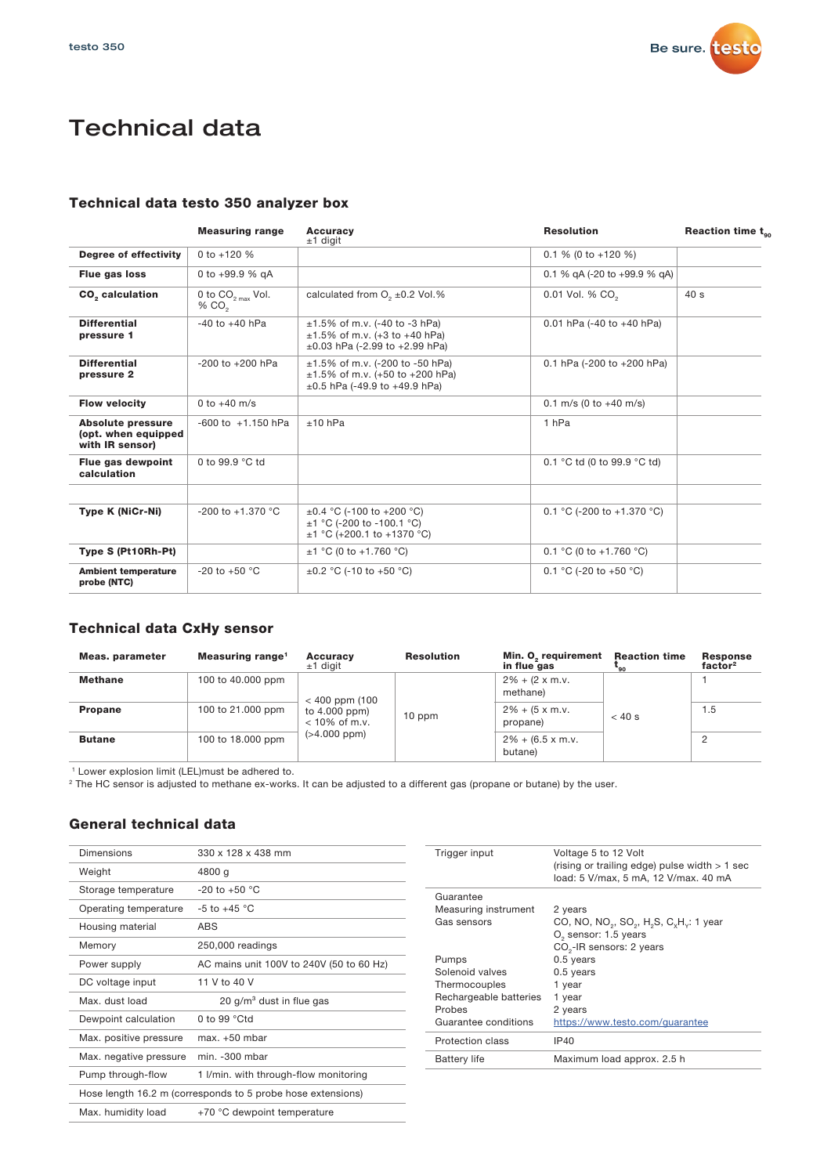

# Technical data

#### Technical data testo 350 analyzer box

|                                                                    | <b>Measuring range</b>                                                                                                  | <b>Accuracy</b><br>$±1$ digit                                                                                        | <b>Resolution</b>                            | Reaction time $t_{gc}$ |
|--------------------------------------------------------------------|-------------------------------------------------------------------------------------------------------------------------|----------------------------------------------------------------------------------------------------------------------|----------------------------------------------|------------------------|
| Degree of effectivity                                              | 0 to $+120%$                                                                                                            |                                                                                                                      | $0.1\%$ (0 to +120 %)                        |                        |
| Flue gas loss                                                      | 0 to $+99.9$ % gA                                                                                                       |                                                                                                                      | 0.1 % gA (-20 to +99.9 % gA)                 |                        |
| CO <sub>2</sub> calculation                                        | calculated from $O2 \pm 0.2$ Vol.%<br>0.01 Vol. % CO <sub>2</sub><br>0 to $CO_{2\text{ max}}$ Vol.<br>% CO <sub>2</sub> |                                                                                                                      | 40 <sub>s</sub>                              |                        |
| <b>Differential</b><br>pressure 1                                  | $-40$ to $+40$ hPa                                                                                                      | $\pm 1.5\%$ of m.v. (-40 to -3 hPa)<br>$\pm 1.5\%$ of m.v. (+3 to +40 hPa)<br>$\pm 0.03$ hPa (-2.99 to +2.99 hPa)    | 0.01 hPa $(-40 \text{ to } +40 \text{ hPa})$ |                        |
| <b>Differential</b><br>pressure 2                                  | $-200$ to $+200$ hPa                                                                                                    | $\pm 1.5\%$ of m.v. (-200 to -50 hPa)<br>$\pm 1.5\%$ of m.v. (+50 to +200 hPa)<br>$\pm 0.5$ hPa (-49.9 to +49.9 hPa) | 0.1 hPa (-200 to +200 hPa)                   |                        |
| <b>Flow velocity</b>                                               | 0 to $+40$ m/s                                                                                                          |                                                                                                                      | $0.1$ m/s (0 to $+40$ m/s)                   |                        |
| <b>Absolute pressure</b><br>(opt. when equipped<br>with IR sensor) | $-600$ to $+1.150$ hPa                                                                                                  | $±10$ hPa                                                                                                            | 1 <sub>hPa</sub>                             |                        |
| Flue gas dewpoint<br>calculation                                   | 0 to 99.9 °C td                                                                                                         |                                                                                                                      | 0.1 °C td (0 to 99.9 °C td)                  |                        |
| <b>Type K (NiCr-Ni)</b>                                            | $-200$ to $+1.370$ °C                                                                                                   | $\pm 0.4$ °C (-100 to +200 °C)<br>$\pm$ 1 °C (-200 to -100.1 °C)<br>$\pm$ 1 °C (+200.1 to +1370 °C)                  | 0.1 °C (-200 to +1.370 °C)                   |                        |
| Type S (Pt10Rh-Pt)                                                 |                                                                                                                         | $±1 °C$ (0 to +1.760 °C)                                                                                             | 0.1 °C (0 to +1.760 °C)                      |                        |
| <b>Ambient temperature</b><br>probe (NTC)                          | $-20$ to $+50$ °C                                                                                                       | $\pm 0.2$ °C (-10 to +50 °C)                                                                                         | 0.1 °C (-20 to +50 °C)                       |                        |

#### Technical data CxHy sensor

| Meas. parameter | Measuring range <sup>1</sup> | <b>Accuracy</b><br>$±1$ digit                                          | <b>Resolution</b> | Min. O <sub>2</sub> requirement<br>in flue gas | <b>Reaction time</b><br>-90        | <b>Response</b><br>factor <sup>2</sup> |     |  |
|-----------------|------------------------------|------------------------------------------------------------------------|-------------------|------------------------------------------------|------------------------------------|----------------------------------------|-----|--|
| <b>Methane</b>  | 100 to 40,000 ppm            | $< 400$ ppm (100<br>to 4.000 ppm)<br>$<$ 10% of m.v.<br>$(>4.000$ ppm) |                   |                                                |                                    | $2\% + (2 \times m.v.$<br>methane)     |     |  |
| <b>Propane</b>  | 100 to 21,000 ppm            |                                                                        |                   | $10$ ppm                                       | $2\% + (5 \times m.v.$<br>propane) | $< 40$ s                               | 1.5 |  |
| <b>Butane</b>   | 100 to 18.000 ppm            |                                                                        |                   | $2\% + (6.5 \times m.v.$<br>butane)            |                                    | 2                                      |     |  |

<sup>1</sup> Lower explosion limit (LEL)must be adhered to.

<sup>2</sup> The HC sensor is adjusted to methane ex-works. It can be adjusted to a different gas (propane or butane) by the user.

#### General technical data

| Dimensions             | 330 x 128 x 438 mm                                          | Trigger input          |
|------------------------|-------------------------------------------------------------|------------------------|
| Weight                 | 4800 g                                                      |                        |
| Storage temperature    | $-20$ to $+50$ °C                                           | Guarantee              |
| Operating temperature  | $-5$ to $+45$ °C                                            | Measuring in           |
| Housing material       | <b>ABS</b>                                                  | Gas sensors            |
| Memory                 | 250,000 readings                                            |                        |
| Power supply           | AC mains unit 100V to 240V (50 to 60 Hz)                    | Pumps<br>Solenoid valv |
| DC voltage input       | 11 V to 40 V                                                | Thermocoup             |
| Max. dust load         | 20 $q/m3$ dust in flue gas                                  | Rechargeabl<br>Probes  |
| Dewpoint calculation   | 0 to 99 $\degree$ Ctd                                       | Guarantee co           |
| Max. positive pressure | $max.+50$ mbar                                              | Protection cl          |
| Max. negative pressure | min. -300 mbar                                              | <b>Battery life</b>    |
| Pump through-flow      | 1 I/min. with through-flow monitoring                       |                        |
|                        | Hose length 16.2 m (corresponds to 5 probe hose extensions) |                        |
| Max. humidity load     | +70 °C dewpoint temperature                                 |                        |

| Trigger input          | Voltage 5 to 12 Volt<br>(rising or trailing edge) pulse width $> 1$ sec<br>load: 5 V/max, 5 mA, 12 V/max. 40 mA |
|------------------------|-----------------------------------------------------------------------------------------------------------------|
| Guarantee              |                                                                                                                 |
| Measuring instrument   | 2 years                                                                                                         |
| Gas sensors            | CO, NO, NO <sub>2</sub> , SO <sub>2</sub> , H <sub>2</sub> S, C <sub>x</sub> H <sub>v</sub> : 1 year            |
|                        | O <sub>2</sub> sensor: 1.5 years                                                                                |
|                        | CO <sub>2</sub> -IR sensors: 2 years                                                                            |
| Pumps                  | $0.5$ years                                                                                                     |
| Solenoid valves        | 0.5 years                                                                                                       |
| Thermocouples          | 1 year                                                                                                          |
| Rechargeable batteries | 1 year                                                                                                          |
| Probes                 | 2 years                                                                                                         |
| Guarantee conditions   | https://www.testo.com/quarantee                                                                                 |
| Protection class       | <b>IP40</b>                                                                                                     |
| <b>Battery life</b>    | Maximum load approx. 2.5 h                                                                                      |